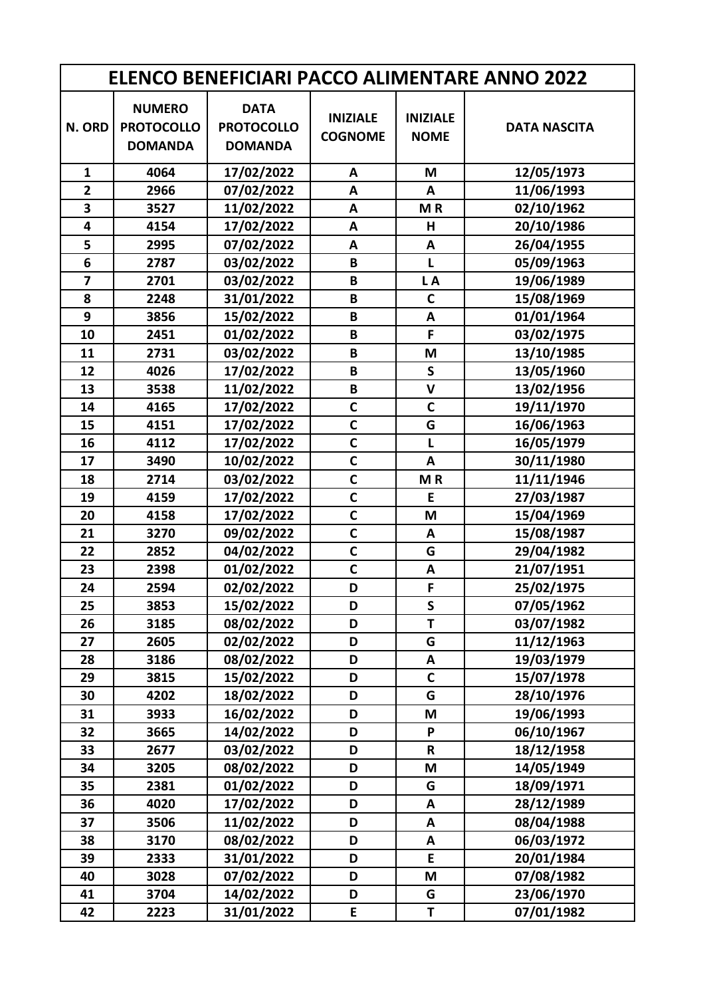| <b>ELENCO BENEFICIARI PACCO ALIMENTARE ANNO 2022</b> |                                                      |                                                    |                                   |                                |                     |  |
|------------------------------------------------------|------------------------------------------------------|----------------------------------------------------|-----------------------------------|--------------------------------|---------------------|--|
| N. ORD                                               | <b>NUMERO</b><br><b>PROTOCOLLO</b><br><b>DOMANDA</b> | <b>DATA</b><br><b>PROTOCOLLO</b><br><b>DOMANDA</b> | <b>INIZIALE</b><br><b>COGNOME</b> | <b>INIZIALE</b><br><b>NOME</b> | <b>DATA NASCITA</b> |  |
| $\mathbf{1}$                                         | 4064                                                 | 17/02/2022                                         | A                                 | M                              | 12/05/1973          |  |
| $\overline{2}$                                       | 2966                                                 | 07/02/2022                                         | A                                 | A                              | 11/06/1993          |  |
| $\overline{\mathbf{3}}$                              | 3527                                                 | 11/02/2022                                         | A                                 | MR                             | 02/10/1962          |  |
| 4                                                    | 4154                                                 | 17/02/2022                                         | A                                 | H                              | 20/10/1986          |  |
| 5                                                    | 2995                                                 | 07/02/2022                                         | A                                 | A                              | 26/04/1955          |  |
| 6                                                    | 2787                                                 | 03/02/2022                                         | B                                 | L                              | 05/09/1963          |  |
| $\overline{7}$                                       | 2701                                                 | 03/02/2022                                         | B                                 | LA                             | 19/06/1989          |  |
| 8                                                    | 2248                                                 | 31/01/2022                                         | B                                 | $\mathsf{C}$                   | 15/08/1969          |  |
| 9                                                    | 3856                                                 | 15/02/2022                                         | B                                 | A                              | 01/01/1964          |  |
| 10                                                   | 2451                                                 | 01/02/2022                                         | B                                 | F                              | 03/02/1975          |  |
| 11                                                   | 2731                                                 | 03/02/2022                                         | B                                 | M                              | 13/10/1985          |  |
| 12                                                   | 4026                                                 | 17/02/2022                                         | B                                 | $\mathsf{s}$                   | 13/05/1960          |  |
| 13                                                   | 3538                                                 | 11/02/2022                                         | B                                 | $\mathsf{V}$                   | 13/02/1956          |  |
| 14                                                   | 4165                                                 | 17/02/2022                                         | $\mathsf{C}$                      | $\mathsf{C}$                   | 19/11/1970          |  |
| 15                                                   | 4151                                                 | 17/02/2022                                         | $\mathbf c$                       | G                              | 16/06/1963          |  |
| 16                                                   | 4112                                                 | 17/02/2022                                         | $\mathbf c$                       | L                              | 16/05/1979          |  |
| 17                                                   | 3490                                                 | 10/02/2022                                         | $\mathbf c$                       | A                              | 30/11/1980          |  |
| 18                                                   | 2714                                                 | 03/02/2022                                         | $\mathbf C$                       | MR                             | 11/11/1946          |  |
| 19                                                   | 4159                                                 | 17/02/2022                                         | $\mathbf C$                       | E                              | 27/03/1987          |  |
| 20                                                   | 4158                                                 | 17/02/2022                                         | $\mathbf C$                       | M                              | 15/04/1969          |  |
| 21                                                   | 3270                                                 | 09/02/2022                                         | $\mathbf c$                       | A                              | 15/08/1987          |  |
| 22                                                   | 2852                                                 | 04/02/2022                                         | $\mathbf C$                       | G                              | 29/04/1982          |  |
| 23                                                   | 2398                                                 | 01/02/2022                                         | $\mathbf c$                       | A                              | 21/07/1951          |  |
| 24                                                   | 2594                                                 | 02/02/2022                                         | D                                 | F                              | 25/02/1975          |  |
| 25                                                   | 3853                                                 | 15/02/2022                                         | D                                 | S                              | 07/05/1962          |  |
| 26                                                   | 3185                                                 | 08/02/2022                                         | D                                 | T                              | 03/07/1982          |  |
| 27                                                   | 2605                                                 | 02/02/2022                                         | D                                 | G                              | 11/12/1963          |  |
| 28                                                   | 3186                                                 | 08/02/2022                                         | D                                 | A                              | 19/03/1979          |  |
| 29                                                   | 3815                                                 | 15/02/2022                                         | D                                 | C                              | 15/07/1978          |  |
| 30                                                   | 4202                                                 | 18/02/2022                                         | D                                 | G                              | 28/10/1976          |  |
| 31                                                   | 3933                                                 | 16/02/2022                                         | D                                 | M                              | 19/06/1993          |  |
| 32                                                   | 3665                                                 | 14/02/2022                                         | D                                 | P                              | 06/10/1967          |  |
| 33                                                   | 2677                                                 | 03/02/2022                                         | D                                 | R                              | 18/12/1958          |  |
| 34                                                   | 3205                                                 | 08/02/2022                                         | D                                 | M                              | 14/05/1949          |  |
| 35                                                   | 2381                                                 | 01/02/2022                                         | D                                 | G                              | 18/09/1971          |  |
| 36                                                   | 4020                                                 | 17/02/2022                                         | D                                 | A                              | 28/12/1989          |  |
| 37                                                   | 3506                                                 | 11/02/2022                                         | D                                 | A                              | 08/04/1988          |  |
| 38                                                   | 3170                                                 | 08/02/2022                                         | D                                 | A                              | 06/03/1972          |  |
| 39                                                   | 2333                                                 | 31/01/2022                                         | D                                 | E.                             | 20/01/1984          |  |
| 40                                                   | 3028                                                 | 07/02/2022                                         | D                                 | M                              | 07/08/1982          |  |
| 41                                                   | 3704                                                 | 14/02/2022                                         | D                                 | G                              | 23/06/1970          |  |
| 42                                                   | 2223                                                 | 31/01/2022                                         | E.                                | T                              | 07/01/1982          |  |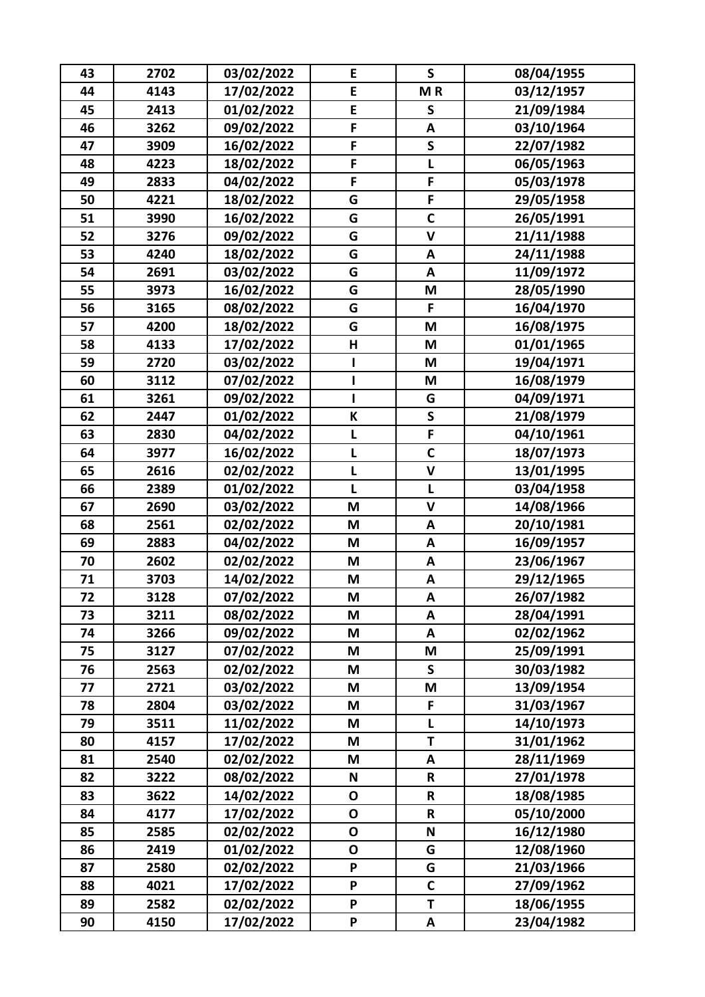| 43 | 2702 | 03/02/2022 | E            | $\mathsf{S}$       | 08/04/1955 |
|----|------|------------|--------------|--------------------|------------|
| 44 | 4143 | 17/02/2022 | E            | MR                 | 03/12/1957 |
| 45 | 2413 | 01/02/2022 | E            | $\mathsf{s}$       | 21/09/1984 |
| 46 | 3262 | 09/02/2022 | F            | A                  | 03/10/1964 |
| 47 | 3909 | 16/02/2022 | F            | $\mathsf{s}$       | 22/07/1982 |
| 48 | 4223 | 18/02/2022 | F            | L                  | 06/05/1963 |
| 49 | 2833 | 04/02/2022 | F            | F                  | 05/03/1978 |
| 50 | 4221 | 18/02/2022 | G            | F                  | 29/05/1958 |
| 51 | 3990 | 16/02/2022 | G            | $\mathbf C$        | 26/05/1991 |
| 52 | 3276 | 09/02/2022 | G            | $\mathsf{V}$       | 21/11/1988 |
| 53 | 4240 | 18/02/2022 | G            | A                  | 24/11/1988 |
| 54 | 2691 | 03/02/2022 | G            | A                  | 11/09/1972 |
| 55 | 3973 | 16/02/2022 | G            | M                  | 28/05/1990 |
| 56 | 3165 | 08/02/2022 | G            | F                  | 16/04/1970 |
| 57 | 4200 | 18/02/2022 | G            | M                  | 16/08/1975 |
| 58 | 4133 | 17/02/2022 | H            | M                  | 01/01/1965 |
| 59 | 2720 | 03/02/2022 | ı            | M                  | 19/04/1971 |
| 60 | 3112 | 07/02/2022 | 1            | M                  | 16/08/1979 |
| 61 | 3261 | 09/02/2022 |              | G                  | 04/09/1971 |
| 62 | 2447 | 01/02/2022 | К            | $\mathsf{s}$       | 21/08/1979 |
| 63 | 2830 | 04/02/2022 | L            | F                  | 04/10/1961 |
| 64 | 3977 | 16/02/2022 | L            | $\mathbf C$        | 18/07/1973 |
| 65 | 2616 | 02/02/2022 | L            | $\mathsf{V}$       | 13/01/1995 |
| 66 | 2389 | 01/02/2022 | L            | L                  | 03/04/1958 |
| 67 | 2690 | 03/02/2022 | M            | $\mathbf v$        | 14/08/1966 |
| 68 | 2561 | 02/02/2022 | M            | A                  | 20/10/1981 |
| 69 | 2883 | 04/02/2022 | M            | A                  | 16/09/1957 |
| 70 | 2602 | 02/02/2022 | M            | A                  | 23/06/1967 |
| 71 | 3703 | 14/02/2022 | M            | $\pmb{\mathsf{A}}$ | 29/12/1965 |
| 72 | 3128 | 07/02/2022 | M            | A                  | 26/07/1982 |
| 73 | 3211 | 08/02/2022 | M            | A                  | 28/04/1991 |
| 74 | 3266 | 09/02/2022 | M            | A                  | 02/02/1962 |
| 75 | 3127 | 07/02/2022 | M            | M                  | 25/09/1991 |
| 76 | 2563 | 02/02/2022 | M            | $\mathsf{s}$       | 30/03/1982 |
| 77 | 2721 | 03/02/2022 | M            | M                  | 13/09/1954 |
| 78 | 2804 | 03/02/2022 | M            | F                  | 31/03/1967 |
| 79 | 3511 | 11/02/2022 | M            | L                  | 14/10/1973 |
| 80 | 4157 | 17/02/2022 | M            | T                  | 31/01/1962 |
| 81 | 2540 | 02/02/2022 | M            | A                  | 28/11/1969 |
| 82 | 3222 | 08/02/2022 | N            | ${\sf R}$          | 27/01/1978 |
| 83 | 3622 | 14/02/2022 | $\mathbf O$  | R                  | 18/08/1985 |
| 84 | 4177 | 17/02/2022 | $\mathbf{o}$ | $\mathsf R$        | 05/10/2000 |
| 85 | 2585 | 02/02/2022 | $\mathbf 0$  | $\mathsf{N}$       | 16/12/1980 |
| 86 | 2419 | 01/02/2022 | $\mathbf 0$  | G                  | 12/08/1960 |
| 87 | 2580 | 02/02/2022 | P            | G                  | 21/03/1966 |
| 88 | 4021 | 17/02/2022 | P            | $\mathbf C$        | 27/09/1962 |
| 89 | 2582 | 02/02/2022 | P            | T                  | 18/06/1955 |
| 90 | 4150 | 17/02/2022 | P            | A                  | 23/04/1982 |